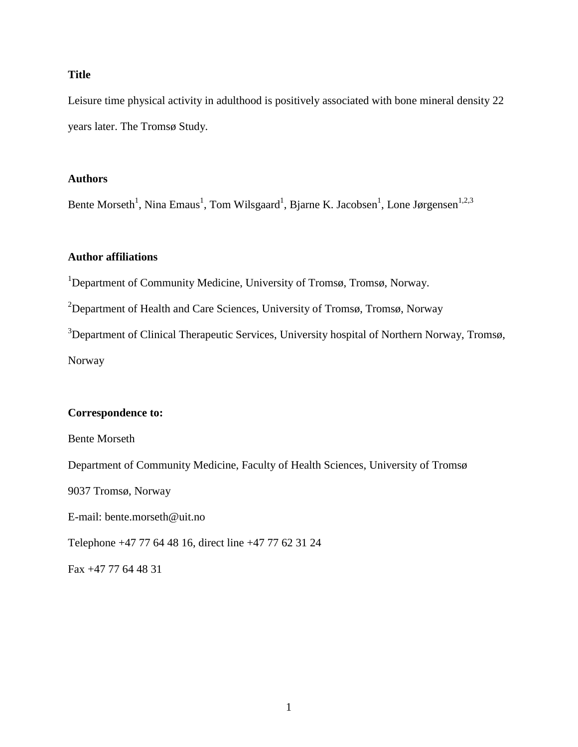### **Title**

Leisure time physical activity in adulthood is positively associated with bone mineral density 22 years later. The Tromsø Study.

#### **Authors**

Bente Morseth<sup>1</sup>, Nina Emaus<sup>1</sup>, Tom Wilsgaard<sup>1</sup>, Bjarne K. Jacobsen<sup>1</sup>, Lone Jørgensen<sup>1,2,3</sup>

## **Author affiliations**

<sup>1</sup>Department of Community Medicine, University of Tromsø, Tromsø, Norway.

<sup>2</sup>Department of Health and Care Sciences, University of Tromsø, Tromsø, Norway

<sup>3</sup>Department of Clinical Therapeutic Services, University hospital of Northern Norway, Tromsø, Norway

#### **Correspondence to:**

Bente Morseth

Department of Community Medicine, Faculty of Health Sciences, University of Tromsø

9037 Tromsø, Norway

E-mail: bente.morseth@uit.no

Telephone +47 77 64 48 16, direct line +47 77 62 31 24

Fax +47 77 64 48 31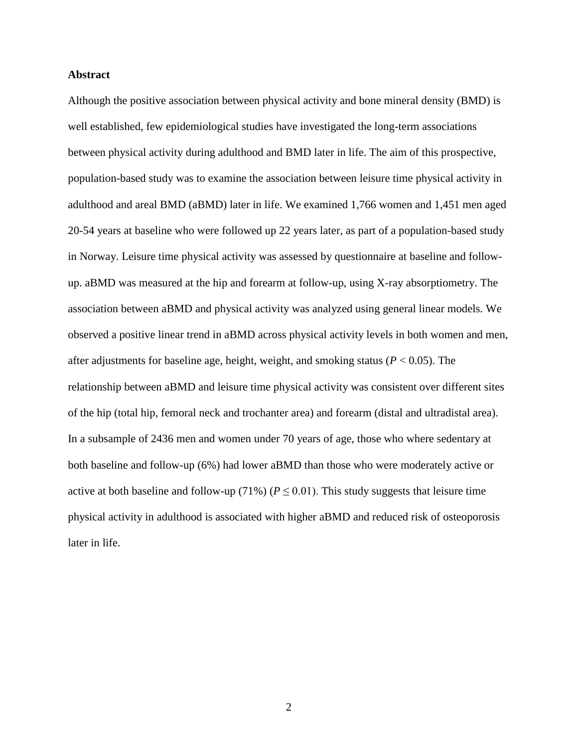#### **Abstract**

Although the positive association between physical activity and bone mineral density (BMD) is well established, few epidemiological studies have investigated the long-term associations between physical activity during adulthood and BMD later in life. The aim of this prospective, population-based study was to examine the association between leisure time physical activity in adulthood and areal BMD (aBMD) later in life. We examined 1,766 women and 1,451 men aged 20-54 years at baseline who were followed up 22 years later, as part of a population-based study in Norway. Leisure time physical activity was assessed by questionnaire at baseline and followup. aBMD was measured at the hip and forearm at follow-up, using X-ray absorptiometry. The association between aBMD and physical activity was analyzed using general linear models. We observed a positive linear trend in aBMD across physical activity levels in both women and men, after adjustments for baseline age, height, weight, and smoking status (*P* < 0.05). The relationship between aBMD and leisure time physical activity was consistent over different sites of the hip (total hip, femoral neck and trochanter area) and forearm (distal and ultradistal area). In a subsample of 2436 men and women under 70 years of age, those who where sedentary at both baseline and follow-up (6%) had lower aBMD than those who were moderately active or active at both baseline and follow-up (71%) ( $P \le 0.01$ ). This study suggests that leisure time physical activity in adulthood is associated with higher aBMD and reduced risk of osteoporosis later in life.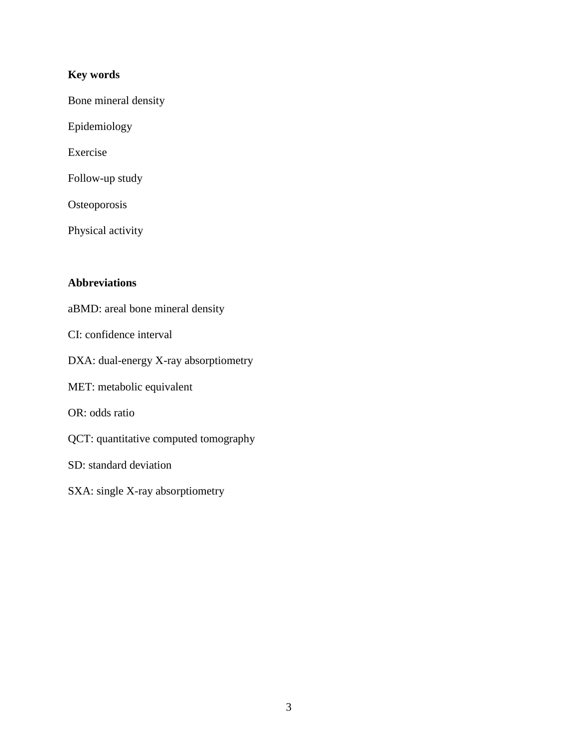## **Key words**

Bone mineral density

Epidemiology

Exercise

Follow-up study

**Osteoporosis** 

Physical activity

## **Abbreviations**

aBMD: areal bone mineral density

CI: confidence interval

DXA: dual-energy X-ray absorptiometry

MET: metabolic equivalent

OR: odds ratio

QCT: quantitative computed tomography

SD: standard deviation

SXA: single X-ray absorptiometry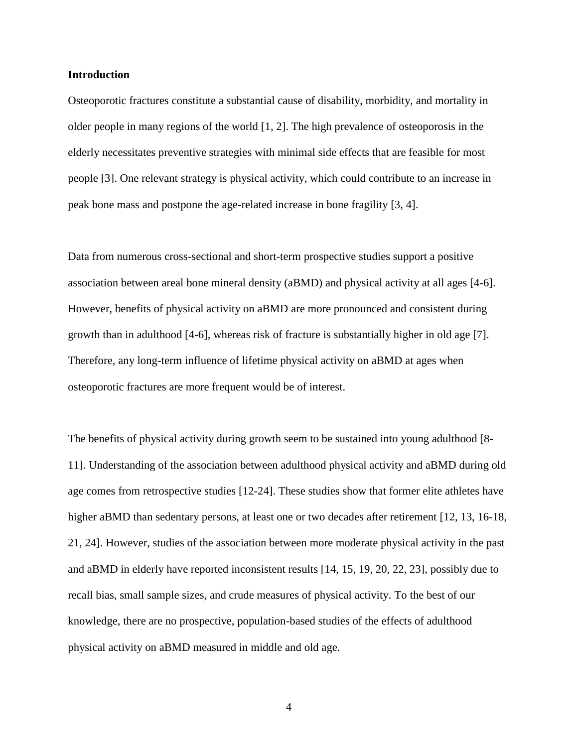#### **Introduction**

Osteoporotic fractures constitute a substantial cause of disability, morbidity, and mortality in older people in many regions of the world [1, 2]. The high prevalence of osteoporosis in the elderly necessitates preventive strategies with minimal side effects that are feasible for most people [3]. One relevant strategy is physical activity, which could contribute to an increase in peak bone mass and postpone the age-related increase in bone fragility [3, 4].

Data from numerous cross-sectional and short-term prospective studies support a positive association between areal bone mineral density (aBMD) and physical activity at all ages [4-6]. However, benefits of physical activity on aBMD are more pronounced and consistent during growth than in adulthood [4-6], whereas risk of fracture is substantially higher in old age [7]. Therefore, any long-term influence of lifetime physical activity on aBMD at ages when osteoporotic fractures are more frequent would be of interest.

The benefits of physical activity during growth seem to be sustained into young adulthood [8- 11]. Understanding of the association between adulthood physical activity and aBMD during old age comes from retrospective studies [12-24]. These studies show that former elite athletes have higher aBMD than sedentary persons, at least one or two decades after retirement [12, 13, 16-18, 21, 24]. However, studies of the association between more moderate physical activity in the past and aBMD in elderly have reported inconsistent results [14, 15, 19, 20, 22, 23], possibly due to recall bias, small sample sizes, and crude measures of physical activity. To the best of our knowledge, there are no prospective, population-based studies of the effects of adulthood physical activity on aBMD measured in middle and old age.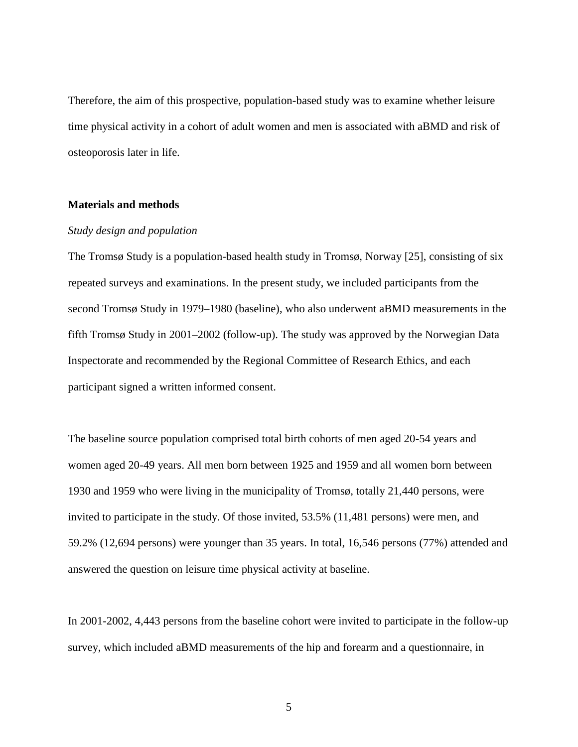Therefore, the aim of this prospective, population-based study was to examine whether leisure time physical activity in a cohort of adult women and men is associated with aBMD and risk of osteoporosis later in life.

#### **Materials and methods**

#### *Study design and population*

The Tromsø Study is a population-based health study in Tromsø, Norway [25], consisting of six repeated surveys and examinations. In the present study, we included participants from the second Tromsø Study in 1979–1980 (baseline), who also underwent aBMD measurements in the fifth Tromsø Study in 2001–2002 (follow-up). The study was approved by the Norwegian Data Inspectorate and recommended by the Regional Committee of Research Ethics, and each participant signed a written informed consent.

The baseline source population comprised total birth cohorts of men aged 20-54 years and women aged 20-49 years. All men born between 1925 and 1959 and all women born between 1930 and 1959 who were living in the municipality of Tromsø, totally 21,440 persons, were invited to participate in the study. Of those invited, 53.5% (11,481 persons) were men, and 59.2% (12,694 persons) were younger than 35 years. In total, 16,546 persons (77%) attended and answered the question on leisure time physical activity at baseline.

In 2001-2002, 4,443 persons from the baseline cohort were invited to participate in the follow-up survey, which included aBMD measurements of the hip and forearm and a questionnaire, in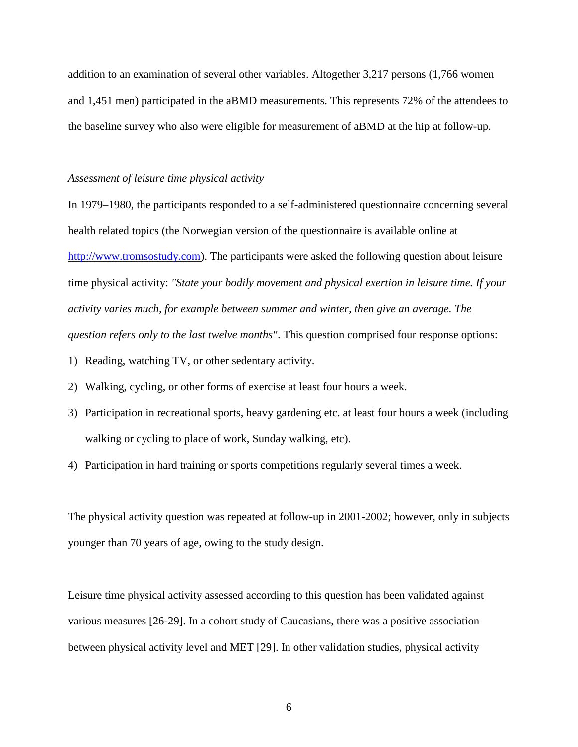addition to an examination of several other variables. Altogether 3,217 persons (1,766 women and 1,451 men) participated in the aBMD measurements. This represents 72% of the attendees to the baseline survey who also were eligible for measurement of aBMD at the hip at follow-up.

#### *Assessment of leisure time physical activity*

In 1979–1980, the participants responded to a self-administered questionnaire concerning several health related topics (the Norwegian version of the questionnaire is available online at [http://www.tromsostudy.com\)](http://www.tromsostudy.com/). The participants were asked the following question about leisure time physical activity: *"State your bodily movement and physical exertion in leisure time. If your activity varies much, for example between summer and winter, then give an average. The question refers only to the last twelve months"*. This question comprised four response options:

- 1) Reading, watching TV, or other sedentary activity.
- 2) Walking, cycling, or other forms of exercise at least four hours a week.
- 3) Participation in recreational sports, heavy gardening etc. at least four hours a week (including walking or cycling to place of work, Sunday walking, etc).
- 4) Participation in hard training or sports competitions regularly several times a week.

The physical activity question was repeated at follow-up in 2001-2002; however, only in subjects younger than 70 years of age, owing to the study design.

Leisure time physical activity assessed according to this question has been validated against various measures [26-29]. In a cohort study of Caucasians, there was a positive association between physical activity level and MET [29]. In other validation studies, physical activity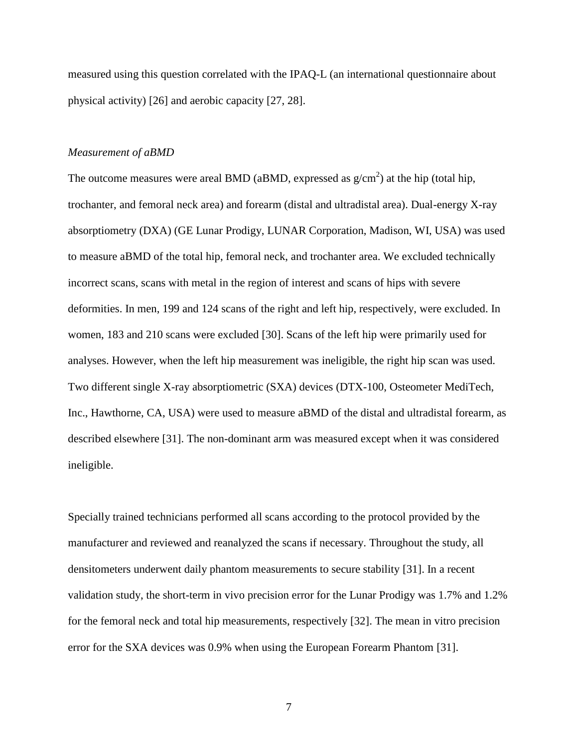measured using this question correlated with the IPAQ-L (an international questionnaire about physical activity) [26] and aerobic capacity [27, 28].

#### *Measurement of aBMD*

The outcome measures were areal BMD (aBMD, expressed as  $g/cm<sup>2</sup>$ ) at the hip (total hip, trochanter, and femoral neck area) and forearm (distal and ultradistal area). Dual-energy X-ray absorptiometry (DXA) (GE Lunar Prodigy, LUNAR Corporation, Madison, WI, USA) was used to measure aBMD of the total hip, femoral neck, and trochanter area. We excluded technically incorrect scans, scans with metal in the region of interest and scans of hips with severe deformities. In men, 199 and 124 scans of the right and left hip, respectively, were excluded. In women, 183 and 210 scans were excluded [30]. Scans of the left hip were primarily used for analyses. However, when the left hip measurement was ineligible, the right hip scan was used. Two different single X-ray absorptiometric (SXA) devices (DTX-100, Osteometer MediTech, Inc., Hawthorne, CA, USA) were used to measure aBMD of the distal and ultradistal forearm, as described elsewhere [31]. The non-dominant arm was measured except when it was considered ineligible.

Specially trained technicians performed all scans according to the protocol provided by the manufacturer and reviewed and reanalyzed the scans if necessary. Throughout the study, all densitometers underwent daily phantom measurements to secure stability [31]. In a recent validation study, the short-term in vivo precision error for the Lunar Prodigy was 1.7% and 1.2% for the femoral neck and total hip measurements, respectively [32]. The mean in vitro precision error for the SXA devices was 0.9% when using the European Forearm Phantom [31].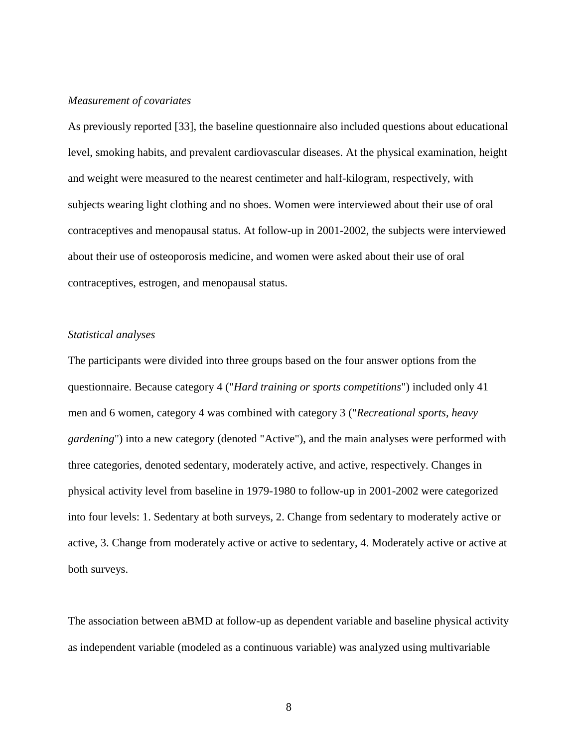#### *Measurement of covariates*

As previously reported [33], the baseline questionnaire also included questions about educational level, smoking habits, and prevalent cardiovascular diseases. At the physical examination, height and weight were measured to the nearest centimeter and half-kilogram, respectively, with subjects wearing light clothing and no shoes. Women were interviewed about their use of oral contraceptives and menopausal status. At follow-up in 2001-2002, the subjects were interviewed about their use of osteoporosis medicine, and women were asked about their use of oral contraceptives, estrogen, and menopausal status.

#### *Statistical analyses*

The participants were divided into three groups based on the four answer options from the questionnaire. Because category 4 ("*Hard training or sports competitions*") included only 41 men and 6 women, category 4 was combined with category 3 ("*Recreational sports, heavy gardening*") into a new category (denoted "Active"), and the main analyses were performed with three categories, denoted sedentary, moderately active, and active, respectively. Changes in physical activity level from baseline in 1979-1980 to follow-up in 2001-2002 were categorized into four levels: 1. Sedentary at both surveys, 2. Change from sedentary to moderately active or active, 3. Change from moderately active or active to sedentary, 4. Moderately active or active at both surveys.

The association between aBMD at follow-up as dependent variable and baseline physical activity as independent variable (modeled as a continuous variable) was analyzed using multivariable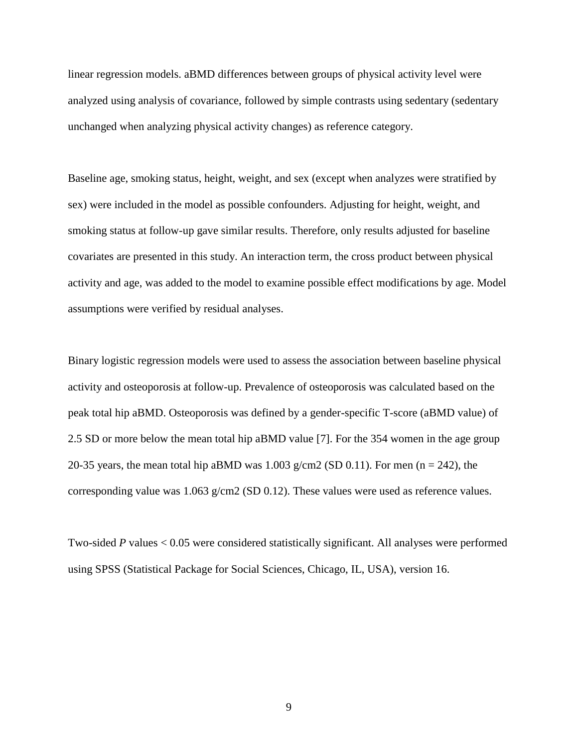linear regression models. aBMD differences between groups of physical activity level were analyzed using analysis of covariance, followed by simple contrasts using sedentary (sedentary unchanged when analyzing physical activity changes) as reference category.

Baseline age, smoking status, height, weight, and sex (except when analyzes were stratified by sex) were included in the model as possible confounders. Adjusting for height, weight, and smoking status at follow-up gave similar results. Therefore, only results adjusted for baseline covariates are presented in this study. An interaction term, the cross product between physical activity and age, was added to the model to examine possible effect modifications by age. Model assumptions were verified by residual analyses.

Binary logistic regression models were used to assess the association between baseline physical activity and osteoporosis at follow-up. Prevalence of osteoporosis was calculated based on the peak total hip aBMD. Osteoporosis was defined by a gender-specific T-score (aBMD value) of 2.5 SD or more below the mean total hip aBMD value [7]. For the 354 women in the age group 20-35 years, the mean total hip aBMD was  $1.003$  g/cm2 (SD 0.11). For men (n = 242), the corresponding value was  $1.063$  g/cm2 (SD 0.12). These values were used as reference values.

Two-sided *P* values < 0.05 were considered statistically significant. All analyses were performed using SPSS (Statistical Package for Social Sciences, Chicago, IL, USA), version 16.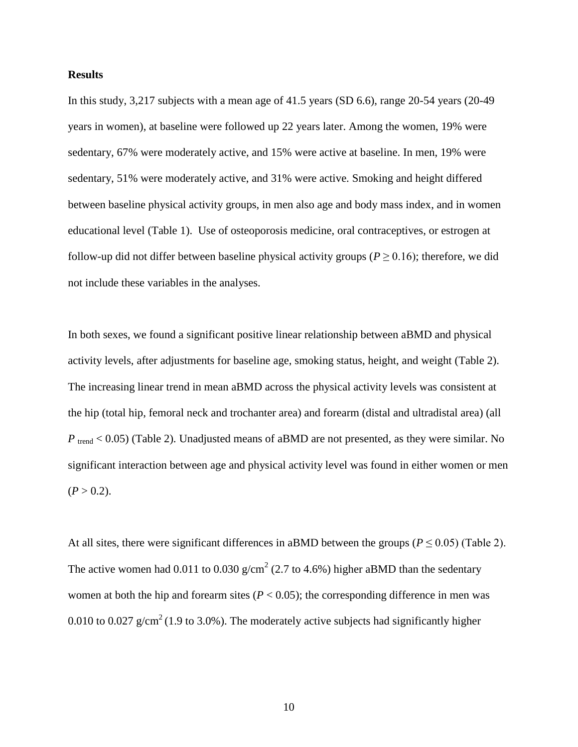#### **Results**

In this study, 3,217 subjects with a mean age of 41.5 years (SD 6.6), range 20-54 years (20-49 years in women), at baseline were followed up 22 years later. Among the women, 19% were sedentary, 67% were moderately active, and 15% were active at baseline. In men, 19% were sedentary, 51% were moderately active, and 31% were active. Smoking and height differed between baseline physical activity groups, in men also age and body mass index, and in women educational level (Table 1). Use of osteoporosis medicine, oral contraceptives, or estrogen at follow-up did not differ between baseline physical activity groups ( $P \ge 0.16$ ); therefore, we did not include these variables in the analyses.

In both sexes, we found a significant positive linear relationship between aBMD and physical activity levels, after adjustments for baseline age, smoking status, height, and weight (Table 2). The increasing linear trend in mean aBMD across the physical activity levels was consistent at the hip (total hip, femoral neck and trochanter area) and forearm (distal and ultradistal area) (all *P* trend < 0.05) (Table 2). Unadjusted means of aBMD are not presented, as they were similar. No significant interaction between age and physical activity level was found in either women or men  $(P > 0.2)$ .

At all sites, there were significant differences in aBMD between the groups ( $P \le 0.05$ ) (Table 2). The active women had 0.011 to 0.030  $g/cm^2$  (2.7 to 4.6%) higher aBMD than the sedentary women at both the hip and forearm sites  $(P < 0.05)$ ; the corresponding difference in men was 0.010 to 0.027  $g/cm^2$  (1.9 to 3.0%). The moderately active subjects had significantly higher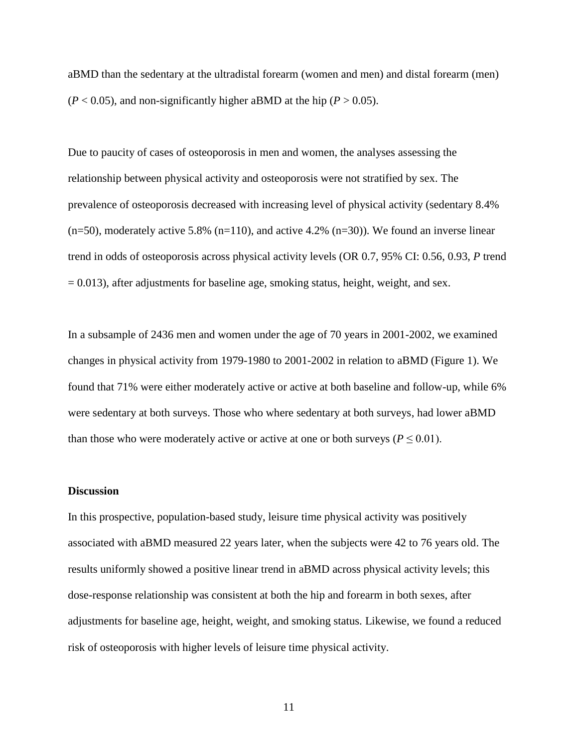aBMD than the sedentary at the ultradistal forearm (women and men) and distal forearm (men)  $(P < 0.05)$ , and non-significantly higher aBMD at the hip  $(P > 0.05)$ .

Due to paucity of cases of osteoporosis in men and women, the analyses assessing the relationship between physical activity and osteoporosis were not stratified by sex. The prevalence of osteoporosis decreased with increasing level of physical activity (sedentary 8.4%  $(n=50)$ , moderately active 5.8%  $(n=110)$ , and active 4.2%  $(n=30)$ ). We found an inverse linear trend in odds of osteoporosis across physical activity levels (OR 0.7, 95% CI: 0.56, 0.93, *P* trend  $= 0.013$ ), after adjustments for baseline age, smoking status, height, weight, and sex.

In a subsample of 2436 men and women under the age of 70 years in 2001-2002, we examined changes in physical activity from 1979-1980 to 2001-2002 in relation to aBMD (Figure 1). We found that 71% were either moderately active or active at both baseline and follow-up, while 6% were sedentary at both surveys. Those who where sedentary at both surveys, had lower aBMD than those who were moderately active or active at one or both surveys ( $P \leq 0.01$ ).

#### **Discussion**

In this prospective, population-based study, leisure time physical activity was positively associated with aBMD measured 22 years later, when the subjects were 42 to 76 years old. The results uniformly showed a positive linear trend in aBMD across physical activity levels; this dose-response relationship was consistent at both the hip and forearm in both sexes, after adjustments for baseline age, height, weight, and smoking status. Likewise, we found a reduced risk of osteoporosis with higher levels of leisure time physical activity.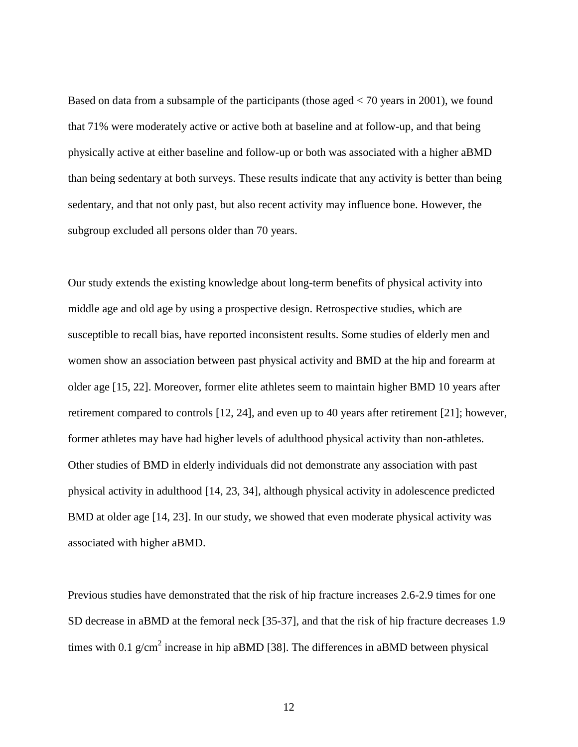Based on data from a subsample of the participants (those aged < 70 years in 2001), we found that 71% were moderately active or active both at baseline and at follow-up, and that being physically active at either baseline and follow-up or both was associated with a higher aBMD than being sedentary at both surveys. These results indicate that any activity is better than being sedentary, and that not only past, but also recent activity may influence bone. However, the subgroup excluded all persons older than 70 years.

Our study extends the existing knowledge about long-term benefits of physical activity into middle age and old age by using a prospective design. Retrospective studies, which are susceptible to recall bias, have reported inconsistent results. Some studies of elderly men and women show an association between past physical activity and BMD at the hip and forearm at older age [15, 22]. Moreover, former elite athletes seem to maintain higher BMD 10 years after retirement compared to controls [12, 24], and even up to 40 years after retirement [21]; however, former athletes may have had higher levels of adulthood physical activity than non-athletes. Other studies of BMD in elderly individuals did not demonstrate any association with past physical activity in adulthood [14, 23, 34], although physical activity in adolescence predicted BMD at older age [14, 23]. In our study, we showed that even moderate physical activity was associated with higher aBMD.

Previous studies have demonstrated that the risk of hip fracture increases 2.6-2.9 times for one SD decrease in aBMD at the femoral neck [35-37], and that the risk of hip fracture decreases 1.9 times with 0.1  $g/cm^2$  increase in hip aBMD [38]. The differences in aBMD between physical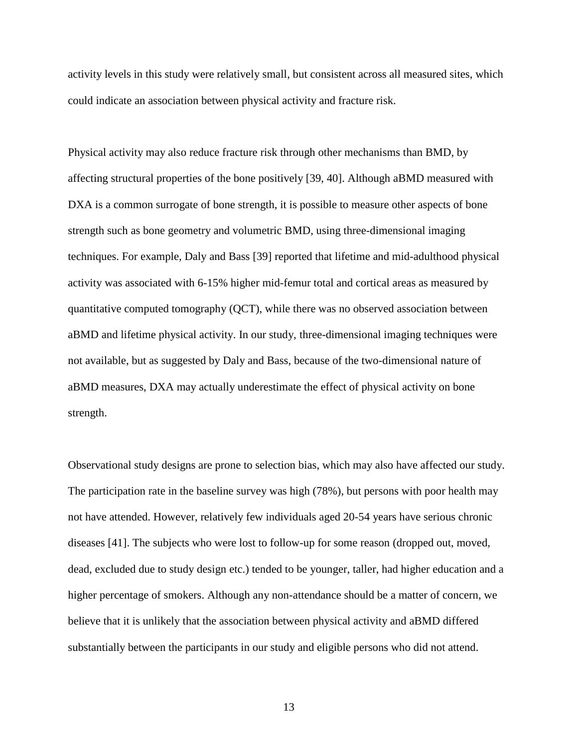activity levels in this study were relatively small, but consistent across all measured sites, which could indicate an association between physical activity and fracture risk.

Physical activity may also reduce fracture risk through other mechanisms than BMD, by affecting structural properties of the bone positively [39, 40]. Although aBMD measured with DXA is a common surrogate of bone strength, it is possible to measure other aspects of bone strength such as bone geometry and volumetric BMD, using three-dimensional imaging techniques. For example, Daly and Bass [39] reported that lifetime and mid-adulthood physical activity was associated with 6-15% higher mid-femur total and cortical areas as measured by quantitative computed tomography (QCT), while there was no observed association between aBMD and lifetime physical activity. In our study, three-dimensional imaging techniques were not available, but as suggested by Daly and Bass, because of the two-dimensional nature of aBMD measures, DXA may actually underestimate the effect of physical activity on bone strength.

Observational study designs are prone to selection bias, which may also have affected our study. The participation rate in the baseline survey was high (78%), but persons with poor health may not have attended. However, relatively few individuals aged 20-54 years have serious chronic diseases [41]. The subjects who were lost to follow-up for some reason (dropped out, moved, dead, excluded due to study design etc.) tended to be younger, taller, had higher education and a higher percentage of smokers. Although any non-attendance should be a matter of concern, we believe that it is unlikely that the association between physical activity and aBMD differed substantially between the participants in our study and eligible persons who did not attend.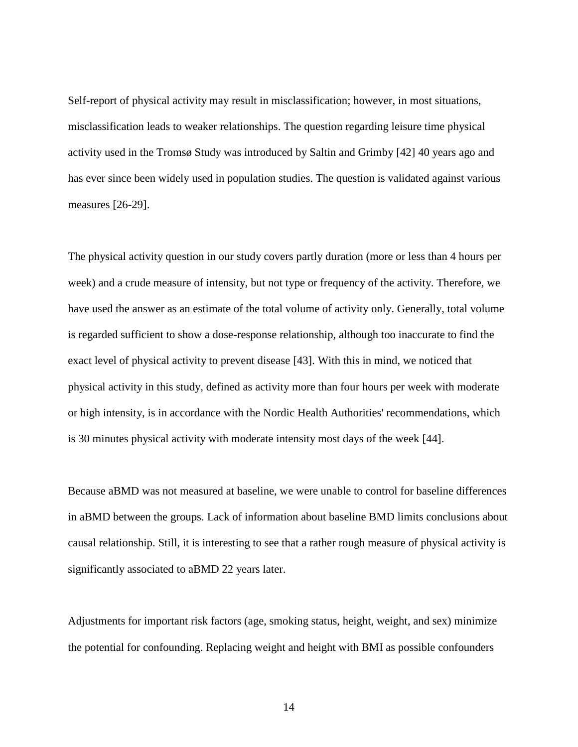Self-report of physical activity may result in misclassification; however, in most situations, misclassification leads to weaker relationships. The question regarding leisure time physical activity used in the Tromsø Study was introduced by Saltin and Grimby [42] 40 years ago and has ever since been widely used in population studies. The question is validated against various measures [26-29].

The physical activity question in our study covers partly duration (more or less than 4 hours per week) and a crude measure of intensity, but not type or frequency of the activity. Therefore, we have used the answer as an estimate of the total volume of activity only. Generally, total volume is regarded sufficient to show a dose-response relationship, although too inaccurate to find the exact level of physical activity to prevent disease [43]. With this in mind, we noticed that physical activity in this study, defined as activity more than four hours per week with moderate or high intensity, is in accordance with the Nordic Health Authorities' recommendations, which is 30 minutes physical activity with moderate intensity most days of the week [44].

Because aBMD was not measured at baseline, we were unable to control for baseline differences in aBMD between the groups. Lack of information about baseline BMD limits conclusions about causal relationship. Still, it is interesting to see that a rather rough measure of physical activity is significantly associated to aBMD 22 years later.

Adjustments for important risk factors (age, smoking status, height, weight, and sex) minimize the potential for confounding. Replacing weight and height with BMI as possible confounders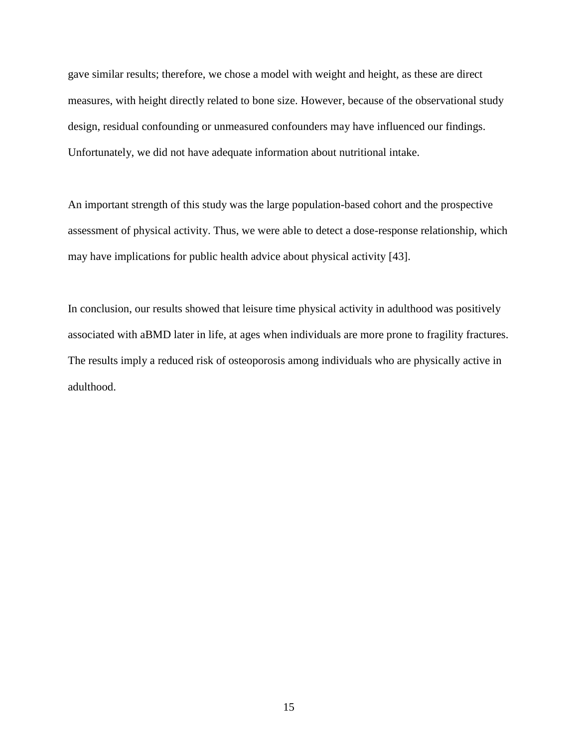gave similar results; therefore, we chose a model with weight and height, as these are direct measures, with height directly related to bone size. However, because of the observational study design, residual confounding or unmeasured confounders may have influenced our findings. Unfortunately, we did not have adequate information about nutritional intake.

An important strength of this study was the large population-based cohort and the prospective assessment of physical activity. Thus, we were able to detect a dose-response relationship, which may have implications for public health advice about physical activity [43].

In conclusion, our results showed that leisure time physical activity in adulthood was positively associated with aBMD later in life, at ages when individuals are more prone to fragility fractures. The results imply a reduced risk of osteoporosis among individuals who are physically active in adulthood.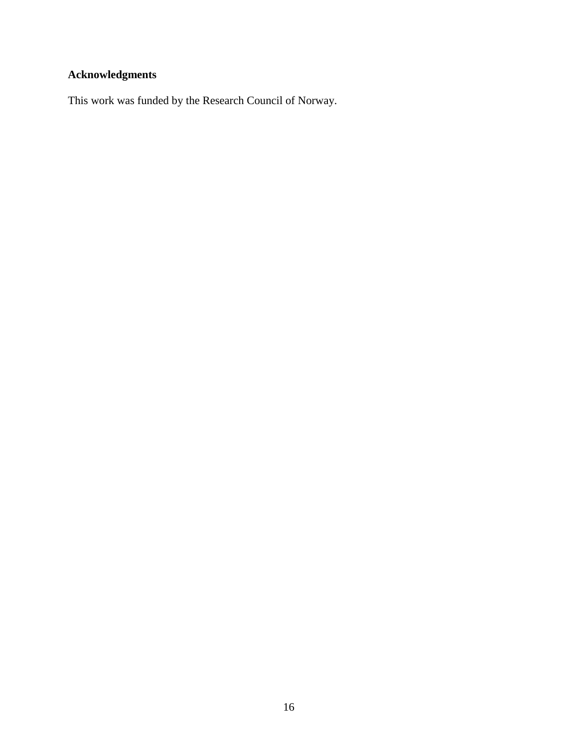# **Acknowledgments**

This work was funded by the Research Council of Norway.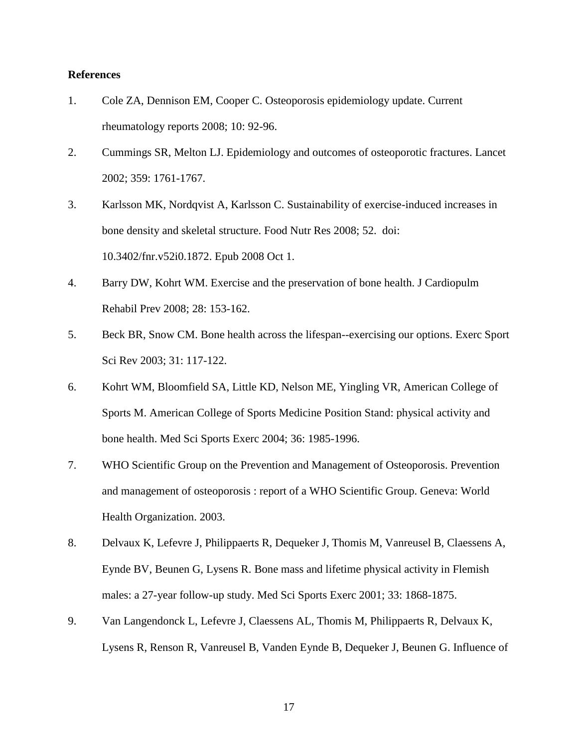#### **References**

- 1. Cole ZA, Dennison EM, Cooper C. Osteoporosis epidemiology update. Current rheumatology reports 2008; 10: 92-96.
- 2. Cummings SR, Melton LJ. Epidemiology and outcomes of osteoporotic fractures. Lancet 2002; 359: 1761-1767.
- 3. Karlsson MK, Nordqvist A, Karlsson C. Sustainability of exercise-induced increases in bone density and skeletal structure. Food Nutr Res 2008; 52. doi: 10.3402/fnr.v52i0.1872. Epub 2008 Oct 1.
- 4. Barry DW, Kohrt WM. Exercise and the preservation of bone health. J Cardiopulm Rehabil Prev 2008; 28: 153-162.
- 5. Beck BR, Snow CM. Bone health across the lifespan--exercising our options. Exerc Sport Sci Rev 2003; 31: 117-122.
- 6. Kohrt WM, Bloomfield SA, Little KD, Nelson ME, Yingling VR, American College of Sports M. American College of Sports Medicine Position Stand: physical activity and bone health. Med Sci Sports Exerc 2004; 36: 1985-1996.
- 7. WHO Scientific Group on the Prevention and Management of Osteoporosis. Prevention and management of osteoporosis : report of a WHO Scientific Group. Geneva: World Health Organization. 2003.
- 8. Delvaux K, Lefevre J, Philippaerts R, Dequeker J, Thomis M, Vanreusel B, Claessens A, Eynde BV, Beunen G, Lysens R. Bone mass and lifetime physical activity in Flemish males: a 27-year follow-up study. Med Sci Sports Exerc 2001; 33: 1868-1875.
- 9. Van Langendonck L, Lefevre J, Claessens AL, Thomis M, Philippaerts R, Delvaux K, Lysens R, Renson R, Vanreusel B, Vanden Eynde B, Dequeker J, Beunen G. Influence of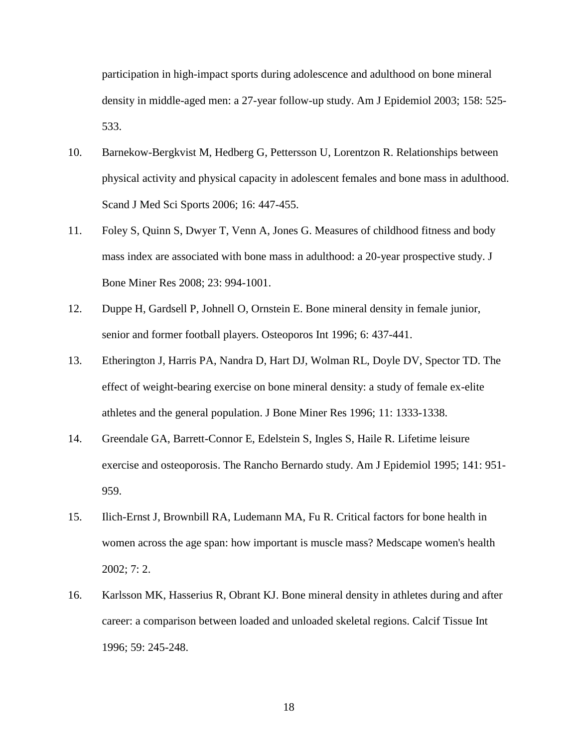participation in high-impact sports during adolescence and adulthood on bone mineral density in middle-aged men: a 27-year follow-up study. Am J Epidemiol 2003; 158: 525- 533.

- 10. Barnekow-Bergkvist M, Hedberg G, Pettersson U, Lorentzon R. Relationships between physical activity and physical capacity in adolescent females and bone mass in adulthood. Scand J Med Sci Sports 2006; 16: 447-455.
- 11. Foley S, Quinn S, Dwyer T, Venn A, Jones G. Measures of childhood fitness and body mass index are associated with bone mass in adulthood: a 20-year prospective study. J Bone Miner Res 2008; 23: 994-1001.
- 12. Duppe H, Gardsell P, Johnell O, Ornstein E. Bone mineral density in female junior, senior and former football players. Osteoporos Int 1996; 6: 437-441.
- 13. Etherington J, Harris PA, Nandra D, Hart DJ, Wolman RL, Doyle DV, Spector TD. The effect of weight-bearing exercise on bone mineral density: a study of female ex-elite athletes and the general population. J Bone Miner Res 1996; 11: 1333-1338.
- 14. Greendale GA, Barrett-Connor E, Edelstein S, Ingles S, Haile R. Lifetime leisure exercise and osteoporosis. The Rancho Bernardo study. Am J Epidemiol 1995; 141: 951- 959.
- 15. Ilich-Ernst J, Brownbill RA, Ludemann MA, Fu R. Critical factors for bone health in women across the age span: how important is muscle mass? Medscape women's health 2002; 7: 2.
- 16. Karlsson MK, Hasserius R, Obrant KJ. Bone mineral density in athletes during and after career: a comparison between loaded and unloaded skeletal regions. Calcif Tissue Int 1996; 59: 245-248.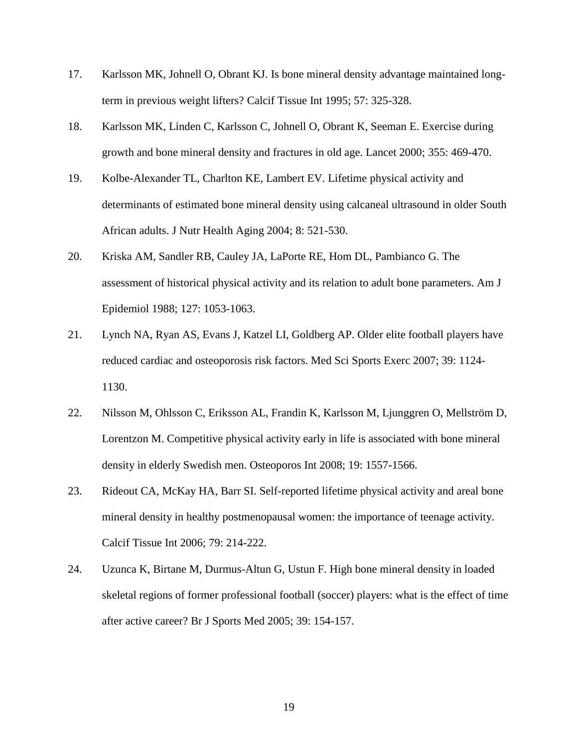- 17. Karlsson MK, Johnell O, Obrant KJ. Is bone mineral density advantage maintained longterm in previous weight lifters? Calcif Tissue Int 1995; 57: 325-328.
- 18. Karlsson MK, Linden C, Karlsson C, Johnell O, Obrant K, Seeman E. Exercise during growth and bone mineral density and fractures in old age. Lancet 2000; 355: 469-470.
- 19. Kolbe-Alexander TL, Charlton KE, Lambert EV. Lifetime physical activity and determinants of estimated bone mineral density using calcaneal ultrasound in older South African adults. J Nutr Health Aging 2004; 8: 521-530.
- 20. Kriska AM, Sandler RB, Cauley JA, LaPorte RE, Hom DL, Pambianco G. The assessment of historical physical activity and its relation to adult bone parameters. Am J Epidemiol 1988; 127: 1053-1063.
- 21. Lynch NA, Ryan AS, Evans J, Katzel LI, Goldberg AP. Older elite football players have reduced cardiac and osteoporosis risk factors. Med Sci Sports Exerc 2007; 39: 1124- 1130.
- 22. Nilsson M, Ohlsson C, Eriksson AL, Frandin K, Karlsson M, Ljunggren O, Mellström D, Lorentzon M. Competitive physical activity early in life is associated with bone mineral density in elderly Swedish men. Osteoporos Int 2008; 19: 1557-1566.
- 23. Rideout CA, McKay HA, Barr SI. Self-reported lifetime physical activity and areal bone mineral density in healthy postmenopausal women: the importance of teenage activity. Calcif Tissue Int 2006; 79: 214-222.
- 24. Uzunca K, Birtane M, Durmus-Altun G, Ustun F. High bone mineral density in loaded skeletal regions of former professional football (soccer) players: what is the effect of time after active career? Br J Sports Med 2005; 39: 154-157.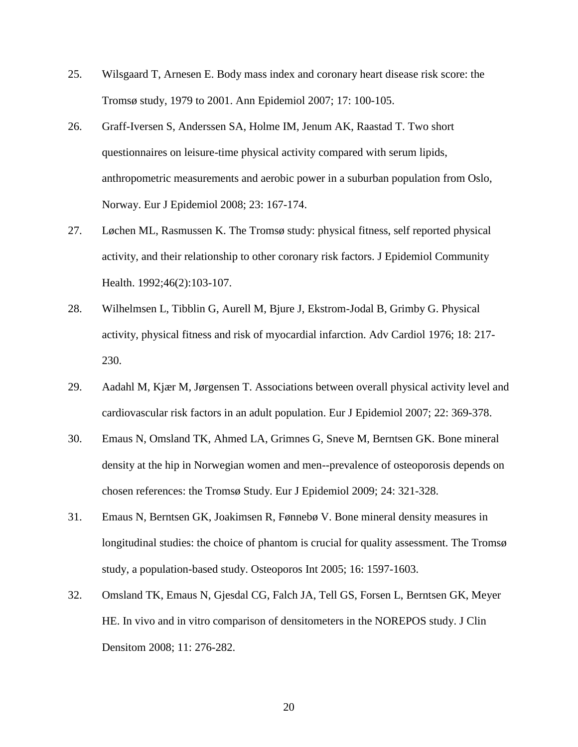- 25. Wilsgaard T, Arnesen E. Body mass index and coronary heart disease risk score: the Tromsø study, 1979 to 2001. Ann Epidemiol 2007; 17: 100-105.
- 26. Graff-Iversen S, Anderssen SA, Holme IM, Jenum AK, Raastad T. Two short questionnaires on leisure-time physical activity compared with serum lipids, anthropometric measurements and aerobic power in a suburban population from Oslo, Norway. Eur J Epidemiol 2008; 23: 167-174.
- 27. Løchen ML, Rasmussen K. The Tromsø study: physical fitness, self reported physical activity, and their relationship to other coronary risk factors. J Epidemiol Community Health. 1992;46(2):103-107.
- 28. Wilhelmsen L, Tibblin G, Aurell M, Bjure J, Ekstrom-Jodal B, Grimby G. Physical activity, physical fitness and risk of myocardial infarction. Adv Cardiol 1976; 18: 217- 230.
- 29. Aadahl M, Kjær M, Jørgensen T. Associations between overall physical activity level and cardiovascular risk factors in an adult population. Eur J Epidemiol 2007; 22: 369-378.
- 30. Emaus N, Omsland TK, Ahmed LA, Grimnes G, Sneve M, Berntsen GK. Bone mineral density at the hip in Norwegian women and men--prevalence of osteoporosis depends on chosen references: the Tromsø Study. Eur J Epidemiol 2009; 24: 321-328.
- 31. Emaus N, Berntsen GK, Joakimsen R, Fønnebø V. Bone mineral density measures in longitudinal studies: the choice of phantom is crucial for quality assessment. The Tromsø study, a population-based study. Osteoporos Int 2005; 16: 1597-1603.
- 32. Omsland TK, Emaus N, Gjesdal CG, Falch JA, Tell GS, Forsen L, Berntsen GK, Meyer HE. In vivo and in vitro comparison of densitometers in the NOREPOS study. J Clin Densitom 2008; 11: 276-282.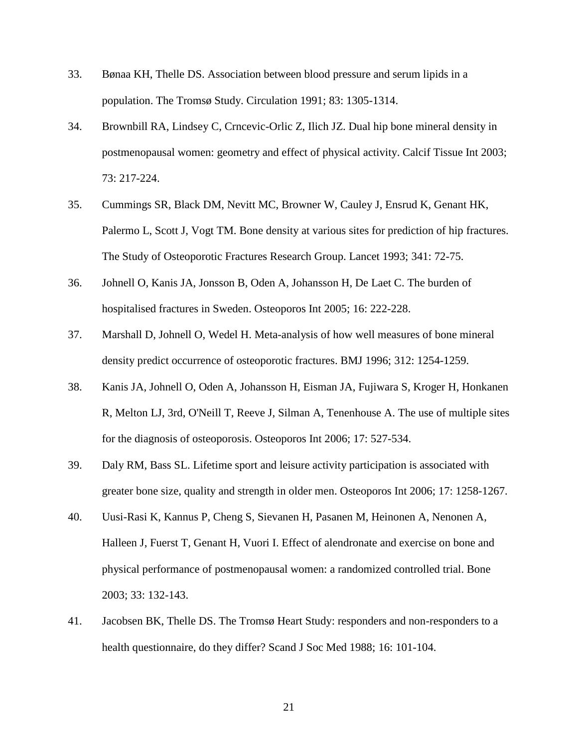- 33. Bønaa KH, Thelle DS. Association between blood pressure and serum lipids in a population. The Tromsø Study. Circulation 1991; 83: 1305-1314.
- 34. Brownbill RA, Lindsey C, Crncevic-Orlic Z, Ilich JZ. Dual hip bone mineral density in postmenopausal women: geometry and effect of physical activity. Calcif Tissue Int 2003; 73: 217-224.
- 35. Cummings SR, Black DM, Nevitt MC, Browner W, Cauley J, Ensrud K, Genant HK, Palermo L, Scott J, Vogt TM. Bone density at various sites for prediction of hip fractures. The Study of Osteoporotic Fractures Research Group. Lancet 1993; 341: 72-75.
- 36. Johnell O, Kanis JA, Jonsson B, Oden A, Johansson H, De Laet C. The burden of hospitalised fractures in Sweden. Osteoporos Int 2005; 16: 222-228.
- 37. Marshall D, Johnell O, Wedel H. Meta-analysis of how well measures of bone mineral density predict occurrence of osteoporotic fractures. BMJ 1996; 312: 1254-1259.
- 38. Kanis JA, Johnell O, Oden A, Johansson H, Eisman JA, Fujiwara S, Kroger H, Honkanen R, Melton LJ, 3rd, O'Neill T, Reeve J, Silman A, Tenenhouse A. The use of multiple sites for the diagnosis of osteoporosis. Osteoporos Int 2006; 17: 527-534.
- 39. Daly RM, Bass SL. Lifetime sport and leisure activity participation is associated with greater bone size, quality and strength in older men. Osteoporos Int 2006; 17: 1258-1267.
- 40. Uusi-Rasi K, Kannus P, Cheng S, Sievanen H, Pasanen M, Heinonen A, Nenonen A, Halleen J, Fuerst T, Genant H, Vuori I. Effect of alendronate and exercise on bone and physical performance of postmenopausal women: a randomized controlled trial. Bone 2003; 33: 132-143.
- 41. Jacobsen BK, Thelle DS. The Tromsø Heart Study: responders and non-responders to a health questionnaire, do they differ? Scand J Soc Med 1988; 16: 101-104.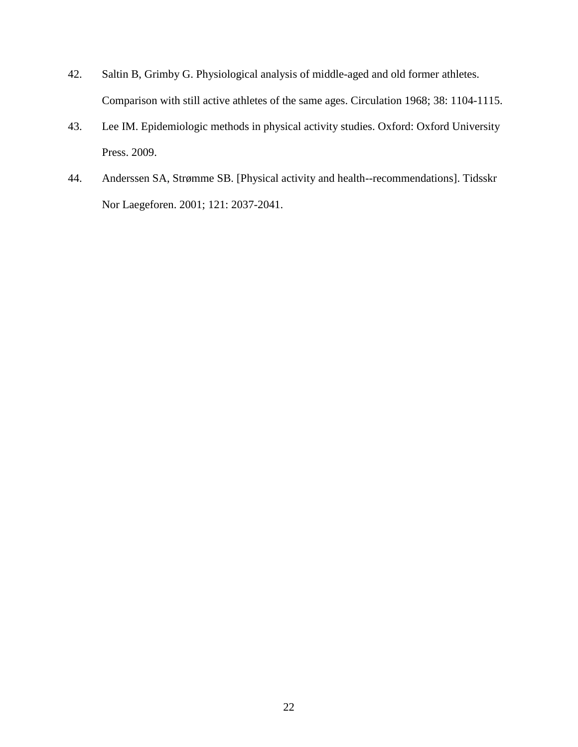- 42. Saltin B, Grimby G. Physiological analysis of middle-aged and old former athletes. Comparison with still active athletes of the same ages. Circulation 1968; 38: 1104-1115.
- 43. Lee IM. Epidemiologic methods in physical activity studies. Oxford: Oxford University Press. 2009.
- 44. Anderssen SA, Strømme SB. [Physical activity and health--recommendations]. Tidsskr Nor Laegeforen. 2001; 121: 2037-2041.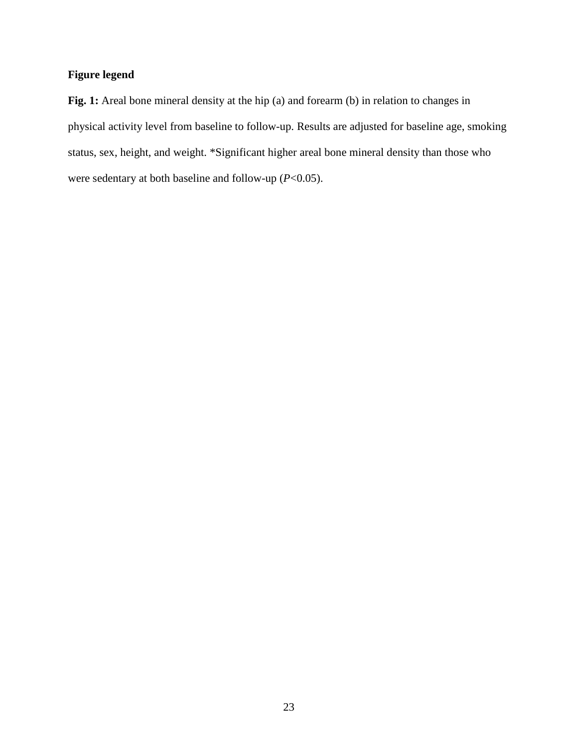# **Figure legend**

Fig. 1: Areal bone mineral density at the hip (a) and forearm (b) in relation to changes in physical activity level from baseline to follow-up. Results are adjusted for baseline age, smoking status, sex, height, and weight. \*Significant higher areal bone mineral density than those who were sedentary at both baseline and follow-up (*P*<0.05).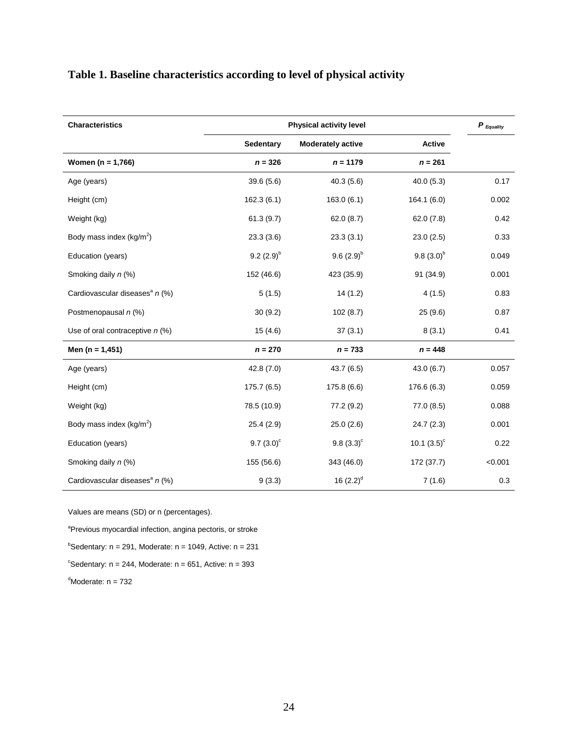# **Table 1. Baseline characteristics according to level of physical activity**

| <b>Characteristics</b>                     | <b>Physical activity level</b> | $P_{\textit{Equality}}$  |                      |         |
|--------------------------------------------|--------------------------------|--------------------------|----------------------|---------|
|                                            | Sedentary                      | <b>Moderately active</b> | <b>Active</b>        |         |
| Women $(n = 1,766)$                        | $n = 326$                      | $n = 1179$               | $n = 261$            |         |
| Age (years)                                | 39.6(5.6)                      | 40.3(5.6)                | 40.0(5.3)            | 0.17    |
| Height (cm)                                | 162.3(6.1)                     | 163.0(6.1)               | 164.1 (6.0)          | 0.002   |
| Weight (kg)                                | 61.3(9.7)                      | 62.0(8.7)                | 62.0(7.8)            | 0.42    |
| Body mass index ( $kg/m^2$ )               | 23.3(3.6)                      | 23.3(3.1)                | 23.0(2.5)            | 0.33    |
| Education (years)                          | 9.2 $(2.9)^{b}$                | $9.6(2.9)^{b}$           | $9.8(3.0)^{b}$       | 0.049   |
| Smoking daily n (%)                        | 152 (46.6)                     | 423 (35.9)               | 91 (34.9)            | 0.001   |
| Cardiovascular diseases <sup>a</sup> n (%) | 5(1.5)                         | 14(1.2)                  | 4(1.5)               | 0.83    |
| Postmenopausal n (%)                       | 30(9.2)                        | 102(8.7)                 | 25 (9.6)             | 0.87    |
| Use of oral contraceptive $n$ (%)          | 15(4.6)                        | 37(3.1)                  | 8(3.1)               | 0.41    |
| Men $(n = 1, 451)$                         | $n = 270$                      | $n = 733$                | $n = 448$            |         |
| Age (years)                                | 42.8(7.0)                      | 43.7(6.5)                | 43.0(6.7)            | 0.057   |
| Height (cm)                                | 175.7(6.5)                     | 175.8 (6.6)              | 176.6 (6.3)          | 0.059   |
| Weight (kg)                                | 78.5 (10.9)                    | 77.2 (9.2)               | 77.0(8.5)            | 0.088   |
| Body mass index ( $kg/m2$ )                | 25.4(2.9)                      | 25.0(2.6)                | 24.7(2.3)            | 0.001   |
| Education (years)                          | $9.7(3.0)^c$                   | 9.8 $(3.3)^c$            | 10.1 $(3.5)^{\circ}$ | 0.22    |
| Smoking daily n (%)                        | 155 (56.6)                     | 343 (46.0)               | 172 (37.7)           | < 0.001 |
| Cardiovascular diseases <sup>a</sup> n (%) | 9(3.3)                         | 16 $(2.2)^d$             | 7(1.6)               | 0.3     |

Values are means (SD) or n (percentages).

<sup>a</sup>Previous myocardial infection, angina pectoris, or stroke

 $b$ Sedentary: n = 291, Moderate: n = 1049, Active: n = 231

 $\textdegree$ Sedentary: n = 244, Moderate: n = 651, Active: n = 393

 $d$ Moderate:  $n = 732$